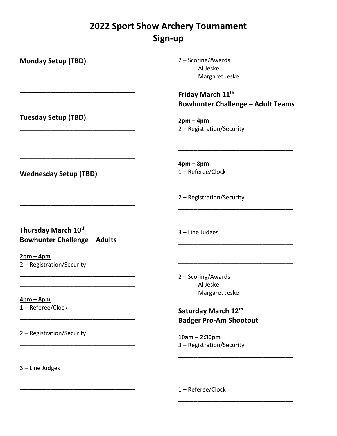## 2022 Sport Show Archery Tournament Sign-up

Monday Setup (TBD) \_\_\_\_\_\_\_\_\_\_\_\_\_\_\_\_\_\_\_\_\_\_\_\_\_\_\_\_\_\_ \_\_\_\_\_\_\_\_\_\_\_\_\_\_\_\_\_\_\_\_\_\_\_\_\_\_\_\_\_\_ \_\_\_\_\_\_\_\_\_\_\_\_\_\_\_\_\_\_\_\_\_\_\_\_\_\_\_\_\_\_ \_\_\_\_\_\_\_\_\_\_\_\_\_\_\_\_\_\_\_\_\_\_\_\_\_\_\_\_\_\_ Tuesday Setup (TBD) \_\_\_\_\_\_\_\_\_\_\_\_\_\_\_\_\_\_\_\_\_\_\_\_\_\_\_\_\_\_ \_\_\_\_\_\_\_\_\_\_\_\_\_\_\_\_\_\_\_\_\_\_\_\_\_\_\_\_\_\_ \_\_\_\_\_\_\_\_\_\_\_\_\_\_\_\_\_\_\_\_\_\_\_\_\_\_\_\_\_\_ \_\_\_\_\_\_\_\_\_\_\_\_\_\_\_\_\_\_\_\_\_\_\_\_\_\_\_\_\_\_ Wednesday Setup (TBD) \_\_\_\_\_\_\_\_\_\_\_\_\_\_\_\_\_\_\_\_\_\_\_\_\_\_\_\_\_\_ \_\_\_\_\_\_\_\_\_\_\_\_\_\_\_\_\_\_\_\_\_\_\_\_\_\_\_\_\_\_ \_\_\_\_\_\_\_\_\_\_\_\_\_\_\_\_\_\_\_\_\_\_\_\_\_\_\_\_\_\_ \_\_\_\_\_\_\_\_\_\_\_\_\_\_\_\_\_\_\_\_\_\_\_\_\_\_\_\_\_\_ Thursday March 10<sup>th</sup> Bowhunter Challenge – Adults  $2pm - 4pm$ 2 – Registration/Security \_\_\_\_\_\_\_\_\_\_\_\_\_\_\_\_\_\_\_\_\_\_\_\_\_\_\_\_\_\_ \_\_\_\_\_\_\_\_\_\_\_\_\_\_\_\_\_\_\_\_\_\_\_\_\_\_\_\_\_\_ 4pm – 8pm 1 – Referee/Clock \_\_\_\_\_\_\_\_\_\_\_\_\_\_\_\_\_\_\_\_\_\_\_\_\_\_\_\_\_\_ 2 – Registration/Security \_\_\_\_\_\_\_\_\_\_\_\_\_\_\_\_\_\_\_\_\_\_\_\_\_\_\_\_\_\_ \_\_\_\_\_\_\_\_\_\_\_\_\_\_\_\_\_\_\_\_\_\_\_\_\_\_\_\_\_\_ \_\_\_\_\_\_\_\_\_\_\_\_\_\_\_\_\_\_\_\_\_\_\_\_\_\_\_\_\_\_ \_\_\_\_\_\_\_\_\_\_\_\_\_\_\_\_\_\_\_\_\_\_\_\_\_\_\_\_\_\_ \_\_\_\_\_\_\_\_\_\_\_\_\_\_\_\_\_\_\_\_\_\_\_\_\_\_\_\_\_\_ \_\_\_\_\_\_\_\_\_\_\_\_\_\_\_\_\_\_\_\_\_\_\_\_\_\_\_\_\_\_ 3 – Line Judges \_\_\_\_\_\_\_\_\_\_\_\_\_\_\_\_\_\_\_\_\_\_\_\_\_\_\_\_\_\_ \_\_\_\_\_\_\_\_\_\_\_\_\_\_\_\_\_\_\_\_\_\_\_\_\_\_\_\_\_\_ \_\_\_\_\_\_\_\_\_\_\_\_\_\_\_\_\_\_\_\_\_\_\_\_\_\_\_\_\_\_

2 – Scoring/Awards Al Jeske Margaret Jeske

Friday March 11<sup>th</sup> Bowhunter Challenge – Adult Teams

 $2pm - 4pm$ 2 – Registration/Security

4pm – 8pm 1 – Referee/Clock

2 – Registration/Security

3 – Line Judges

\_\_\_\_\_\_\_\_\_\_\_\_\_\_\_\_\_\_\_\_\_\_\_\_\_\_\_\_\_\_

\_\_\_\_\_\_\_\_\_\_\_\_\_\_\_\_\_\_\_\_\_\_\_\_\_\_\_\_\_\_ \_\_\_\_\_\_\_\_\_\_\_\_\_\_\_\_\_\_\_\_\_\_\_\_\_\_\_\_\_\_ \_\_\_\_\_\_\_\_\_\_\_\_\_\_\_\_\_\_\_\_\_\_\_\_\_\_\_\_\_\_ 2 – Scoring/Awards Al Jeske Margaret Jeske

### Saturday March 12th Badger Pro-Am Shootout

\_\_\_\_\_\_\_\_\_\_\_\_\_\_\_\_\_\_\_\_\_\_\_\_\_\_\_\_\_\_ \_\_\_\_\_\_\_\_\_\_\_\_\_\_\_\_\_\_\_\_\_\_\_\_\_\_\_\_\_\_ \_\_\_\_\_\_\_\_\_\_\_\_\_\_\_\_\_\_\_\_\_\_\_\_\_\_\_\_\_\_

\_\_\_\_\_\_\_\_\_\_\_\_\_\_\_\_\_\_\_\_\_\_\_\_\_\_\_\_\_\_

10am – 2:30pm 3 – Registration/Security

1 – Referee/Clock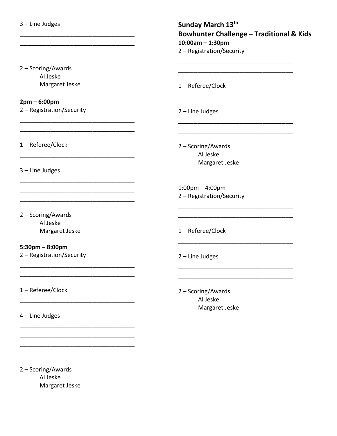3 – Line Judges

2 – Scoring/Awards Al Jeske Margaret Jeske

\_\_\_\_\_\_\_\_\_\_\_\_\_\_\_\_\_\_\_\_\_\_\_\_\_\_\_\_\_\_ \_\_\_\_\_\_\_\_\_\_\_\_\_\_\_\_\_\_\_\_\_\_\_\_\_\_\_\_\_\_

\_\_\_\_\_\_\_\_\_\_\_\_\_\_\_\_\_\_\_\_\_\_\_\_\_\_\_\_\_\_ \_\_\_\_\_\_\_\_\_\_\_\_\_\_\_\_\_\_\_\_\_\_\_\_\_\_\_\_\_\_

\_\_\_\_\_\_\_\_\_\_\_\_\_\_\_\_\_\_\_\_\_\_\_\_\_\_\_\_\_\_

\_\_\_\_\_\_\_\_\_\_\_\_\_\_\_\_\_\_\_\_\_\_\_\_\_\_\_\_\_\_ \_\_\_\_\_\_\_\_\_\_\_\_\_\_\_\_\_\_\_\_\_\_\_\_\_\_\_\_\_\_ \_\_\_\_\_\_\_\_\_\_\_\_\_\_\_\_\_\_\_\_\_\_\_\_\_\_\_\_\_\_

\_\_\_\_\_\_\_\_\_\_\_\_\_\_\_\_\_\_\_\_\_\_\_\_\_\_\_\_\_\_ \_\_\_\_\_\_\_\_\_\_\_\_\_\_\_\_\_\_\_\_\_\_\_\_\_\_\_\_\_\_

\_\_\_\_\_\_\_\_\_\_\_\_\_\_\_\_\_\_\_\_\_\_\_\_\_\_\_\_\_\_

\_\_\_\_\_\_\_\_\_\_\_\_\_\_\_\_\_\_\_\_\_\_\_\_\_\_\_\_\_\_ \_\_\_\_\_\_\_\_\_\_\_\_\_\_\_\_\_\_\_\_\_\_\_\_\_\_\_\_\_\_ \_\_\_\_\_\_\_\_\_\_\_\_\_\_\_\_\_\_\_\_\_\_\_\_\_\_\_\_\_\_ \_\_\_\_\_\_\_\_\_\_\_\_\_\_\_\_\_\_\_\_\_\_\_\_\_\_\_\_\_\_

#### 2pm – 6:00pm

2 – Registration/Security

1 – Referee/Clock

3 – Line Judges

2 – Scoring/Awards Al Jeske Margaret Jeske

5:30pm – 8:00pm

2 – Registration/Security

1 – Referee/Clock

4 – Line Judges

2 – Scoring/Awards Al Jeske Margaret Jeske

10:00am – 1:30pm 2 – Registration/Security \_\_\_\_\_\_\_\_\_\_\_\_\_\_\_\_\_\_\_\_\_\_\_\_\_\_\_\_\_\_ \_\_\_\_\_\_\_\_\_\_\_\_\_\_\_\_\_\_\_\_\_\_\_\_\_\_\_\_\_\_ 1 – Referee/Clock \_\_\_\_\_\_\_\_\_\_\_\_\_\_\_\_\_\_\_\_\_\_\_\_\_\_\_\_\_\_ 2 – Line Judges

\_\_\_\_\_\_\_\_\_\_\_\_\_\_\_\_\_\_\_\_\_\_\_\_\_\_\_\_\_\_ \_\_\_\_\_\_\_\_\_\_\_\_\_\_\_\_\_\_\_\_\_\_\_\_\_\_\_\_\_\_

\_\_\_\_\_\_\_\_\_\_\_\_\_\_\_\_\_\_\_\_\_\_\_\_\_\_\_\_\_\_ \_\_\_\_\_\_\_\_\_\_\_\_\_\_\_\_\_\_\_\_\_\_\_\_\_\_\_\_\_\_

\_\_\_\_\_\_\_\_\_\_\_\_\_\_\_\_\_\_\_\_\_\_\_\_\_\_\_\_\_\_

\_\_\_\_\_\_\_\_\_\_\_\_\_\_\_\_\_\_\_\_\_\_\_\_\_\_\_\_\_\_ \_\_\_\_\_\_\_\_\_\_\_\_\_\_\_\_\_\_\_\_\_\_\_\_\_\_\_\_\_\_

Bowhunter Challenge – Traditional & Kids

2 – Scoring/Awards Al Jeske Margaret Jeske

Sunday March 13th

1:00pm – 4:00pm 2 – Registration/Security

1 – Referee/Clock

2 – Line Judges

2 – Scoring/Awards Al Jeske Margaret Jeske